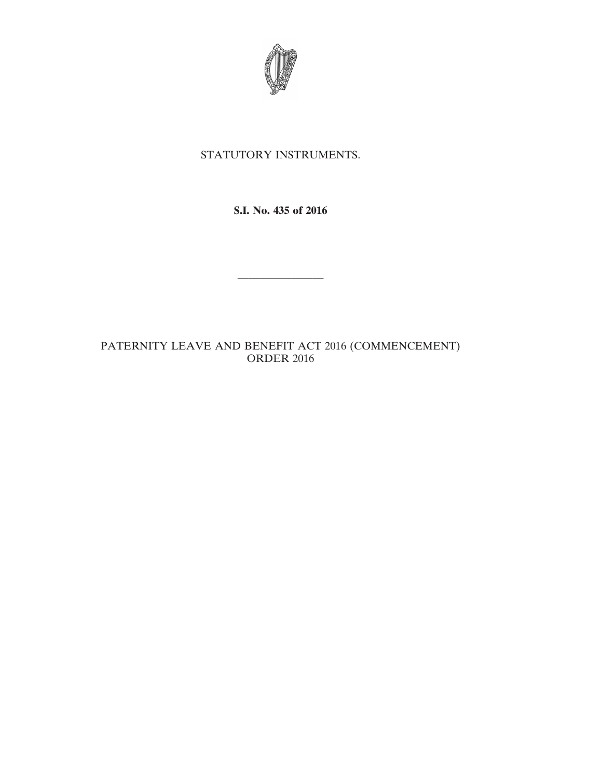

## STATUTORY INSTRUMENTS.

**S.I. No. 435 of 2016**

————————

## PATERNITY LEAVE AND BENEFIT ACT 2016 (COMMENCEMENT) ORDER 2016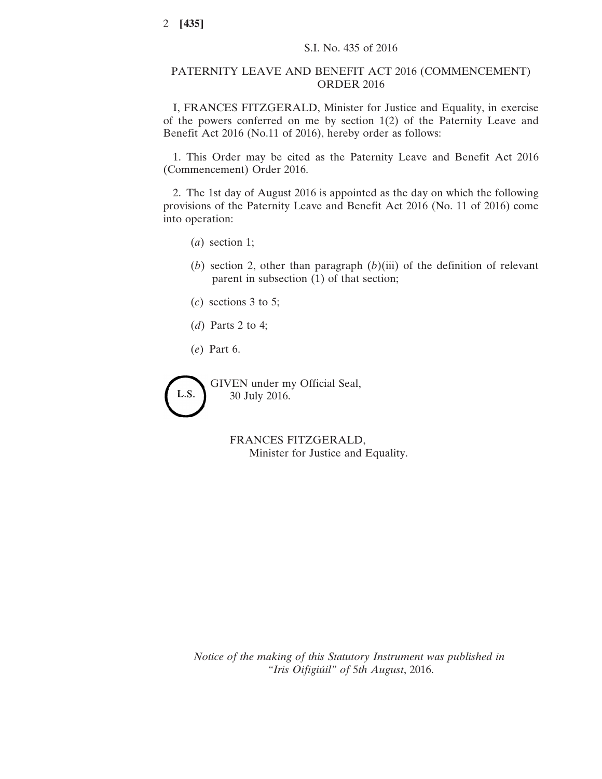## PATERNITY LEAVE AND BENEFIT ACT 2016 (COMMENCEMENT) ORDER 2016

I, FRANCES FITZGERALD, Minister for Justice and Equality, in exercise of the powers conferred on me by section 1(2) of the Paternity Leave and Benefit Act 2016 (No.11 of 2016), hereby order as follows:

1. This Order may be cited as the Paternity Leave and Benefit Act 2016 (Commencement) Order 2016.

2. The 1st day of August 2016 is appointed as the day on which the following provisions of the Paternity Leave and Benefit Act 2016 (No. 11 of 2016) come into operation:

- (*a*) section 1;
- (*b*) section 2, other than paragraph (*b*)(iii) of the definition of relevant parent in subsection (1) of that section;
- (*c*) sections 3 to 5;
- (*d*) Parts 2 to 4;
- (*e*) Part 6.

GIVEN under my Official Seal, L.S. 30 July 2016.

> FRANCES FITZGERALD, Minister for Justice and Equality.

*Notice of the making of this Statutory Instrument was published in "Iris Oifigiúil" of* 5*th August*, 2016.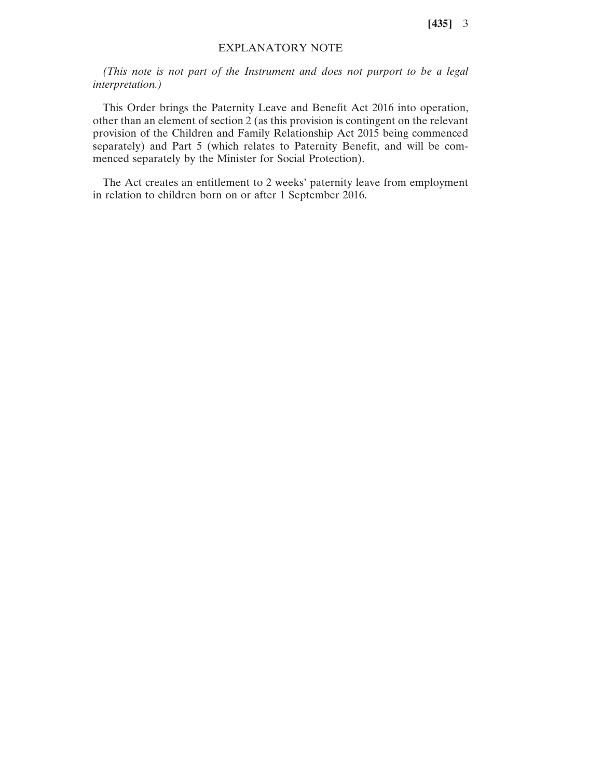**[435]** 3

## EXPLANATORY NOTE

*(This note is not part of the Instrument and does not purport to be a legal interpretation.)*

This Order brings the Paternity Leave and Benefit Act 2016 into operation, other than an element of section 2 (as this provision is contingent on the relevant provision of the Children and Family Relationship Act 2015 being commenced separately) and Part 5 (which relates to Paternity Benefit, and will be commenced separately by the Minister for Social Protection).

The Act creates an entitlement to 2 weeks' paternity leave from employment in relation to children born on or after 1 September 2016.